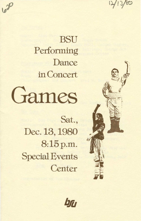

**BSU** Performing Dance in Concert



Sat., Dec. 13, 1980 8:15p.m. Special Events **Center** 



ba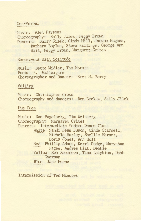## Jon-Verbal

Music: Alen Parsons Choreography: Sally Jilek, Peggy Brown Dancers: Sally Jilek, Cindy Hill, Jacque Hughes, Barbara Boylan, Steve Billings, George Ann Hilt, Peggy Brown, Margaret Crites

Rendezvous with Solitude

Music: Bette Midler, The Motors Poem: B. Gallaighre Choreographer and Dancer: Bret N. Berry

## Sailing

Music: Christopher Cross Choreography and dancers: Don Brokaw, Sally Jilek

Hue Cues

Music: Dan Fogelberg, Tim Weisberg Choreography: Margaret Crites Dancers: Intermediate Modern Dance Class White Sandi Jean Fuson, Cinde Starsell, Michele Harley, Shellie Werner, Doris Jones. Ann Holt Red Phillip Adams, Kerri Dodge, Mary-Ann Magee, Andrea Hilt, Debbie Yellow Rob Robinson, Tina Leighton, Debb Overman Blue Jane Hoene

Intermission of Ten Minutes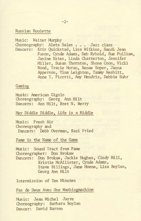Russ ian Roulette

Music: Walter Murphy Choreography: Aleta Sales . . . Jazz class Dancers: Kris Quickstad, Lisa Wilkins, Sandi Jean Fuson, Cynde Adams, Deb Rybold, Sue Pulliam, Janine Estes, Linda Chatterton, Jennifer Miller, Susan Thornton, Shona Coon, Vicki Wood, Tracie Moran, Renae Soper, Janna Apperson, Tina Leighton, Tammy Nesbitt, Anne T. Picotti, *Amy* Hendrix, Debbie Suhr

Gaming

Music: American Gigolo Choreography: Georg Ann Hilt Dancers: Ann Hilt, Bret N. Berry

Hey Diddle Diddle, Life is a Riddle

Music: Fresh Air Choreography and Dancers: Debb Overman, Kazi Fried

Fame is the Name of the Game

Music: Sound Tract from Fame Choreographer: Don Brokaw Dancers: Don Brokaw, Jackie Hughes, Cindy Hill, Kristie McAllister, Cynde Adams, Steve Billings, Jane Hoene, Lisa Boylan, Georg Ann Hilt

Intermission of Ten Minutes

Pas de Deux Avec Une Washingmachine

Music: Jean MiChel Jarre 01oreography: Barbara Boylan Dancer: David Barron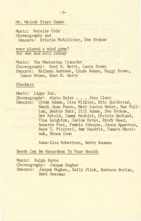## Mr. Melody Plays Games

Music: Natalie Cole Choreography and Dancers: Kristie McAllister, Don Brokaw

ever played a mind game? for ann and eric cooney

Music: The Manhattan Transfer Choreography: Bret N. Berry, Lance Brown Dancers: Kelleen Andrews, Cynde Adams, Peggy Brown, Lance Brown, Bret N. Berry

**Checkers** 

Music: Lipps Inc. Choreography: Aleta Sales • • • Jazz Class Dancers: Cynde Adams, Lisa Wilkins, Kris Quickstad, Sandi Jean Fuson, Mary Louise Weber, Sue Pulliam, Debbie Suhr, Jill Adams, Don Brokaw, Deb Rybold, Tammy Nesbitt, Christa Hedlund, Tina Leighton, Janine Estes, Ryndy Reed, Annette Frei, Pamela Johnson, Janna Apperson, Anne T. Piccotti, Amy Hendrix, Tamara Marcinuk, Shona Coon

Auna-Lisa Robertson, Bebby Bauman

## Death Can Be Hazardous To Your Health

Music: Ralph Burns Choreography: Jacque Hughes Dancers: Jacque Hughes, Sally Jilek, Barbara Boylan, Debb Overman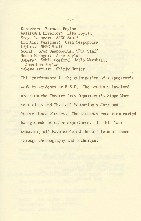Director: Barbara Boylan Assistant Director: Lisa Boylan Stage Manager: SPEC Staff Lighting Designer: Greg Despopolus Lights: SPEC Staff Sound: Greg Despopolus, SPEC Staff House Manager: Anne Boylan Ushers: Sybil Hosford, Jodie Marshall, Jonathan Boylan Makeup artist: Shirly Hurley

This performance is the culmination of a semester's work by students at B.S.U. The students involved are from the Theatre Arts Department's Stage Movement class and Physical Education's Jazz and Modern Dance classes. The students come from varied backgrounds of dance experience. In this last semester, all have explored the art form of dance through choreography and technique .